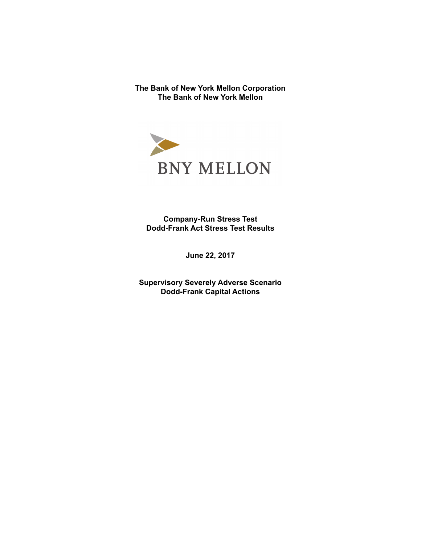**The Bank of New York Mellon Corporation The Bank of New York Mellon** 



**Company-Run Stress Test Dodd-Frank Act Stress Test Results** 

**June 22, 2017** 

**Supervisory Severely Adverse Scenario Dodd-Frank Capital Actions**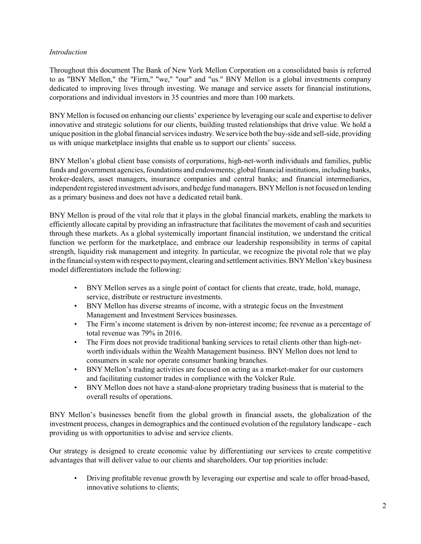# *Introduction*

Throughout this document The Bank of New York Mellon Corporation on a consolidated basis is referred to as "BNY Mellon," the "Firm," "we," "our" and "us." BNY Mellon is a global investments company dedicated to improving lives through investing. We manage and service assets for financial institutions, corporations and individual investors in 35 countries and more than 100 markets.

BNY Mellon is focused on enhancing our clients' experience by leveraging our scale and expertise to deliver innovative and strategic solutions for our clients, building trusted relationships that drive value. We hold a unique position in the global financial services industry. We service both the buy-side and sell-side, providing us with unique marketplace insights that enable us to support our clients' success.

BNY Mellon's global client base consists of corporations, high-net-worth individuals and families, public funds and government agencies, foundations and endowments; global financial institutions, including banks, broker-dealers, asset managers, insurance companies and central banks; and financial intermediaries, independent registered investment advisors, and hedge fund managers. BNY Mellon is not focused on lending as a primary business and does not have a dedicated retail bank.

BNY Mellon is proud of the vital role that it plays in the global financial markets, enabling the markets to efficiently allocate capital by providing an infrastructure that facilitates the movement of cash and securities through these markets. As a global systemically important financial institution, we understand the critical function we perform for the marketplace, and embrace our leadership responsibility in terms of capital strength, liquidity risk management and integrity. In particular, we recognize the pivotal role that we play in the financial system with respect to payment, clearing and settlement activities. BNY Mellon's key business model differentiators include the following:

- BNY Mellon serves as a single point of contact for clients that create, trade, hold, manage, service, distribute or restructure investments.
- BNY Mellon has diverse streams of income, with a strategic focus on the Investment Management and Investment Services businesses.
- The Firm's income statement is driven by non-interest income; fee revenue as a percentage of total revenue was 79% in 2016.
- The Firm does not provide traditional banking services to retail clients other than high-networth individuals within the Wealth Management business. BNY Mellon does not lend to consumers in scale nor operate consumer banking branches.
- BNY Mellon's trading activities are focused on acting as a market-maker for our customers and facilitating customer trades in compliance with the Volcker Rule.
- BNY Mellon does not have a stand-alone proprietary trading business that is material to the overall results of operations.

BNY Mellon's businesses benefit from the global growth in financial assets, the globalization of the investment process, changes in demographics and the continued evolution of the regulatory landscape - each providing us with opportunities to advise and service clients.

Our strategy is designed to create economic value by differentiating our services to create competitive advantages that will deliver value to our clients and shareholders. Our top priorities include:

• Driving profitable revenue growth by leveraging our expertise and scale to offer broad-based, innovative solutions to clients;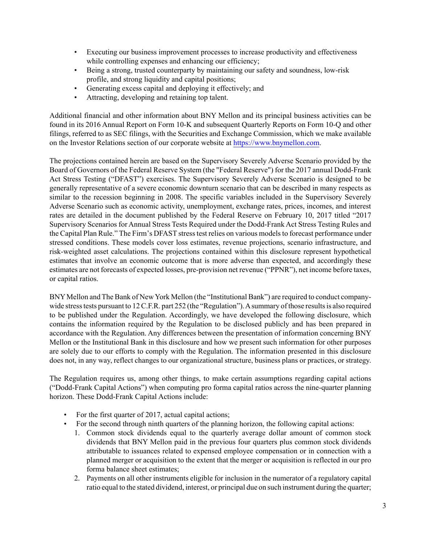- Executing our business improvement processes to increase productivity and effectiveness while controlling expenses and enhancing our efficiency:
- Being a strong, trusted counterparty by maintaining our safety and soundness, low-risk profile, and strong liquidity and capital positions;
- Generating excess capital and deploying it effectively; and
- Attracting, developing and retaining top talent.

Additional financial and other information about BNY Mellon and its principal business activities can be found in its 2016 Annual Report on Form 10-K and subsequent Quarterly Reports on Form 10-Q and other filings, referred to as SEC filings, with the Securities and Exchange Commission, which we make available on the Investor Relations section of our corporate website at [https://www.bnymellon.com.](https://www.bnymellon.com)

The projections contained herein are based on the Supervisory Severely Adverse Scenario provided by the Board of Governors of the Federal Reserve System (the "Federal Reserve") for the 2017 annual Dodd-Frank Act Stress Testing ("DFAST") exercises. The Supervisory Severely Adverse Scenario is designed to be generally representative of a severe economic downturn scenario that can be described in many respects as similar to the recession beginning in 2008. The specific variables included in the Supervisory Severely Adverse Scenario such as economic activity, unemployment, exchange rates, prices, incomes, and interest rates are detailed in the document published by the Federal Reserve on February 10, 2017 titled "2017 Supervisory Scenarios for Annual Stress Tests Required under the Dodd-Frank Act Stress Testing Rules and the Capital Plan Rule." The Firm's DFAST stress test relies on various models to forecast performance under stressed conditions. These models cover loss estimates, revenue projections, scenario infrastructure, and risk-weighted asset calculations. The projections contained within this disclosure represent hypothetical estimates that involve an economic outcome that is more adverse than expected, and accordingly these estimates are not forecasts of expected losses, pre-provision net revenue ("PPNR"), net income before taxes, or capital ratios.

BNY Mellon and The Bank of New York Mellon (the "Institutional Bank") are required to conduct companywide stress tests pursuant to 12 C.F.R. part 252 (the "Regulation"). A summary of those results is also required to be published under the Regulation. Accordingly, we have developed the following disclosure, which contains the information required by the Regulation to be disclosed publicly and has been prepared in accordance with the Regulation. Any differences between the presentation of information concerning BNY Mellon or the Institutional Bank in this disclosure and how we present such information for other purposes are solely due to our efforts to comply with the Regulation. The information presented in this disclosure does not, in any way, reflect changes to our organizational structure, business plans or practices, or strategy.

The Regulation requires us, among other things, to make certain assumptions regarding capital actions ("Dodd-Frank Capital Actions") when computing pro forma capital ratios across the nine-quarter planning horizon. These Dodd-Frank Capital Actions include:

- For the first quarter of 2017, actual capital actions;
- For the second through ninth quarters of the planning horizon, the following capital actions:
	- 1. Common stock dividends equal to the quarterly average dollar amount of common stock dividends that BNY Mellon paid in the previous four quarters plus common stock dividends attributable to issuances related to expensed employee compensation or in connection with a planned merger or acquisition to the extent that the merger or acquisition is reflected in our pro forma balance sheet estimates;
	- 2. Payments on all other instruments eligible for inclusion in the numerator of a regulatory capital ratio equal to the stated dividend, interest, or principal due on such instrument during the quarter;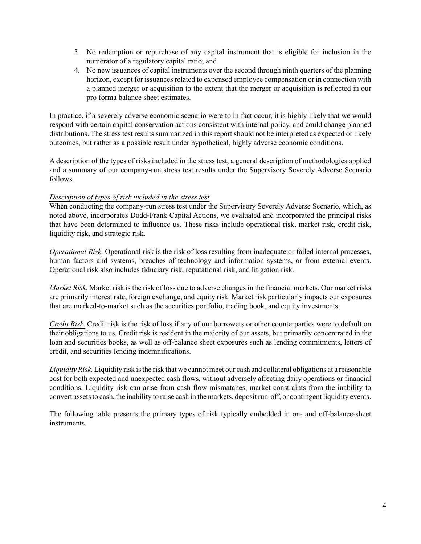- 3. No redemption or repurchase of any capital instrument that is eligible for inclusion in the numerator of a regulatory capital ratio; and
- 4. No new issuances of capital instruments over the second through ninth quarters of the planning horizon, except for issuances related to expensed employee compensation or in connection with a planned merger or acquisition to the extent that the merger or acquisition is reflected in our pro forma balance sheet estimates.

In practice, if a severely adverse economic scenario were to in fact occur, it is highly likely that we would respond with certain capital conservation actions consistent with internal policy, and could change planned distributions. The stress test results summarized in this report should not be interpreted as expected or likely outcomes, but rather as a possible result under hypothetical, highly adverse economic conditions.

A description of the types of risks included in the stress test, a general description of methodologies applied and a summary of our company-run stress test results under the Supervisory Severely Adverse Scenario follows.

## *Description of types of risk included in the stress test*

When conducting the company-run stress test under the Supervisory Severely Adverse Scenario, which, as noted above, incorporates Dodd-Frank Capital Actions, we evaluated and incorporated the principal risks that have been determined to influence us. These risks include operational risk, market risk, credit risk, liquidity risk, and strategic risk.

*Operational Risk.* Operational risk is the risk of loss resulting from inadequate or failed internal processes, human factors and systems, breaches of technology and information systems, or from external events. Operational risk also includes fiduciary risk, reputational risk, and litigation risk.

*Market Risk.* Market risk is the risk of loss due to adverse changes in the financial markets. Our market risks are primarily interest rate, foreign exchange, and equity risk. Market risk particularly impacts our exposures that are marked-to-market such as the securities portfolio, trading book, and equity investments.

*Credit Risk.* Credit risk is the risk of loss if any of our borrowers or other counterparties were to default on their obligations to us. Credit risk is resident in the majority of our assets, but primarily concentrated in the loan and securities books, as well as off-balance sheet exposures such as lending commitments, letters of credit, and securities lending indemnifications.

*Liquidity Risk.* Liquidity risk is the risk that we cannot meet our cash and collateral obligations at a reasonable cost for both expected and unexpected cash flows, without adversely affecting daily operations or financial conditions. Liquidity risk can arise from cash flow mismatches, market constraints from the inability to convert assets to cash, the inability to raise cash in the markets, deposit run-off, or contingent liquidity events.

The following table presents the primary types of risk typically embedded in on- and off-balance-sheet instruments.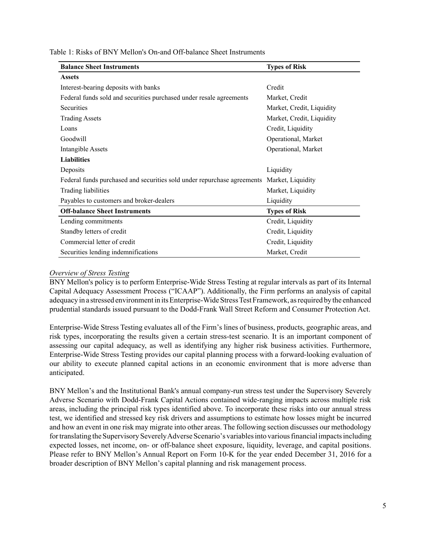| <b>Balance Sheet Instruments</b>                                        | <b>Types of Risk</b>      |
|-------------------------------------------------------------------------|---------------------------|
| <b>Assets</b>                                                           |                           |
| Interest-bearing deposits with banks                                    | Credit                    |
| Federal funds sold and securities purchased under resale agreements     | Market, Credit            |
| <b>Securities</b>                                                       | Market, Credit, Liquidity |
| <b>Trading Assets</b>                                                   | Market, Credit, Liquidity |
| Loans                                                                   | Credit, Liquidity         |
| Goodwill                                                                | Operational, Market       |
| Intangible Assets                                                       | Operational, Market       |
| <b>Liabilities</b>                                                      |                           |
| Deposits                                                                | Liquidity                 |
| Federal funds purchased and securities sold under repurchase agreements | Market, Liquidity         |
| Trading liabilities                                                     | Market, Liquidity         |
| Payables to customers and broker-dealers                                | Liquidity                 |
| <b>Off-balance Sheet Instruments</b>                                    | <b>Types of Risk</b>      |
| Lending commitments                                                     | Credit, Liquidity         |
| Standby letters of credit                                               | Credit, Liquidity         |
| Commercial letter of credit                                             | Credit, Liquidity         |
| Securities lending indemnifications                                     | Market, Credit            |

#### *Overview of Stress Testing*

BNY Mellon's policy is to perform Enterprise-Wide Stress Testing at regular intervals as part of its Internal Capital Adequacy Assessment Process ("ICAAP"). Additionally, the Firm performs an analysis of capital adequacy in a stressed environment in its Enterprise-Wide Stress Test Framework, as required by the enhanced prudential standards issued pursuant to the Dodd-Frank Wall Street Reform and Consumer Protection Act.

Enterprise-Wide Stress Testing evaluates all of the Firm's lines of business, products, geographic areas, and risk types, incorporating the results given a certain stress-test scenario. It is an important component of assessing our capital adequacy, as well as identifying any higher risk business activities. Furthermore, Enterprise-Wide Stress Testing provides our capital planning process with a forward-looking evaluation of our ability to execute planned capital actions in an economic environment that is more adverse than anticipated.

BNY Mellon's and the Institutional Bank's annual company-run stress test under the Supervisory Severely Adverse Scenario with Dodd-Frank Capital Actions contained wide-ranging impacts across multiple risk areas, including the principal risk types identified above. To incorporate these risks into our annual stress test, we identified and stressed key risk drivers and assumptions to estimate how losses might be incurred and how an event in one risk may migrate into other areas. The following section discusses our methodology for translating the Supervisory Severely Adverse Scenario's variables into various financial impacts including expected losses, net income, on- or off-balance sheet exposure, liquidity, leverage, and capital positions. Please refer to BNY Mellon's Annual Report on Form 10-K for the year ended December 31, 2016 for a broader description of BNY Mellon's capital planning and risk management process.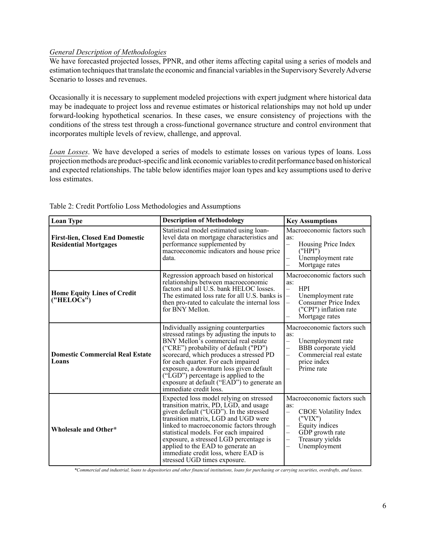## *General Description of Methodologies*

We have forecasted projected losses, PPNR, and other items affecting capital using a series of models and estimation techniques that translate the economic and financial variables in the Supervisory Severely Adverse Scenario to losses and revenues.

Occasionally it is necessary to supplement modeled projections with expert judgment where historical data may be inadequate to project loss and revenue estimates or historical relationships may not hold up under forward-looking hypothetical scenarios. In these cases, we ensure consistency of projections with the conditions of the stress test through a cross-functional governance structure and control environment that incorporates multiple levels of review, challenge, and approval.

*Loan Losses*. We have developed a series of models to estimate losses on various types of loans. Loss projection methods are product-specific and link economic variables to credit performance based on historical and expected relationships. The table below identifies major loan types and key assumptions used to derive loss estimates.

| <b>Loan Type</b>                                                       | <b>Description of Methodology</b>                                                                                                                                                                                                                                                                                                                                                                                 | <b>Key Assumptions</b>                                                                                                                                                                            |
|------------------------------------------------------------------------|-------------------------------------------------------------------------------------------------------------------------------------------------------------------------------------------------------------------------------------------------------------------------------------------------------------------------------------------------------------------------------------------------------------------|---------------------------------------------------------------------------------------------------------------------------------------------------------------------------------------------------|
| <b>First-lien, Closed End Domestic</b><br><b>Residential Mortgages</b> | Statistical model estimated using loan-<br>level data on mortgage characteristics and<br>performance supplemented by<br>macroeconomic indicators and house price<br>data.                                                                                                                                                                                                                                         |                                                                                                                                                                                                   |
| <b>Home Equity Lines of Credit</b><br>("HELOCs")                       | Regression approach based on historical<br>relationships between macroeconomic<br>factors and all U.S. bank HELOC losses.<br>The estimated loss rate for all U.S. banks is<br>then pro-rated to calculate the internal loss<br>for BNY Mellon.                                                                                                                                                                    | Macroeconomic factors such<br>as:<br><b>HPI</b><br>$\equiv$<br>Unemployment rate<br>$\frac{1}{1}$<br>Consumer Price Index<br>("CPI") inflation rate<br>Mortgage rates<br>$\overline{\phantom{0}}$ |
| <b>Domestic Commercial Real Estate</b><br>Loans                        | Individually assigning counterparties<br>stressed ratings by adjusting the inputs to<br>BNY Mellon's commercial real estate<br>("CRE") probability of default ("PD")<br>scorecard, which produces a stressed PD<br>for each quarter. For each impaired<br>exposure, a downturn loss given default<br>("LGD") percentage is applied to the<br>exposure at default ("EAD") to generate an<br>immediate credit loss. | Macroeconomic factors such<br>as:<br>$\overline{\phantom{0}}$<br>Unemployment rate<br>BBB corporate yield<br>—<br>Commercial real estate<br>$\overline{\phantom{0}}$<br>price index<br>Prime rate |
| Wholesale and Other*                                                   | Expected loss model relying on stressed<br>transition matrix, PD, LGD, and usage<br>given default ("UGD"). In the stressed<br>transition matrix, LGD and UGD were<br>linked to macroeconomic factors through<br>statistical models. For each impaired<br>exposure, a stressed LGD percentage is<br>applied to the EAD to generate an<br>immediate credit loss, where EAD is<br>stressed UGD times exposure.       | Macroeconomic factors such<br>as:<br><b>CBOE</b> Volatility Index<br>-<br>("VIX")<br>Equity indices<br>—<br>GDP growth rate<br>L,<br>Treasury yields<br>-<br>Unemployment<br>-                    |

Table 2: Credit Portfolio Loss Methodologies and Assumptions

*\*Commercial and industrial, loans to depositories and other financial institutions, loans for purchasing or carrying securities, overdrafts, and leases.*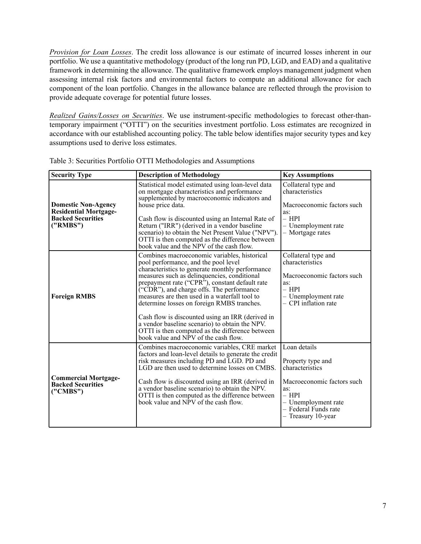*Provision for Loan Losses*. The credit loss allowance is our estimate of incurred losses inherent in our portfolio. We use a quantitative methodology (product of the long run PD, LGD, and EAD) and a qualitative framework in determining the allowance. The qualitative framework employs management judgment when assessing internal risk factors and environmental factors to compute an additional allowance for each component of the loan portfolio. Changes in the allowance balance are reflected through the provision to provide adequate coverage for potential future losses.

*Realized Gains/Losses on Securities*. We use instrument-specific methodologies to forecast other-thantemporary impairment ("OTTI") on the securities investment portfolio. Loss estimates are recognized in accordance with our established accounting policy. The table below identifies major security types and key assumptions used to derive loss estimates.

| <b>Security Type</b>                                                                                                                                                                                                                                                                                                                                                                                                                                                                                                                  | <b>Description of Methodology</b>                                                                                                                                                                                                                                                                                                                                                                                                                                                                                                                                                               | <b>Key Assumptions</b>                                                                                                                                                    |
|---------------------------------------------------------------------------------------------------------------------------------------------------------------------------------------------------------------------------------------------------------------------------------------------------------------------------------------------------------------------------------------------------------------------------------------------------------------------------------------------------------------------------------------|-------------------------------------------------------------------------------------------------------------------------------------------------------------------------------------------------------------------------------------------------------------------------------------------------------------------------------------------------------------------------------------------------------------------------------------------------------------------------------------------------------------------------------------------------------------------------------------------------|---------------------------------------------------------------------------------------------------------------------------------------------------------------------------|
| Statistical model estimated using loan-level data<br>on mortgage characteristics and performance<br>supplemented by macroeconomic indicators and<br><b>Domestic Non-Agency</b><br>house price data.<br><b>Residential Mortgage-</b><br><b>Backed Securities</b><br>Cash flow is discounted using an Internal Rate of<br>("RMBS")<br>Return ("IRR") (derived in a vendor baseline<br>scenario) to obtain the Net Present Value ("NPV").<br>OTTI is then computed as the difference between<br>book value and the NPV of the cash flow. |                                                                                                                                                                                                                                                                                                                                                                                                                                                                                                                                                                                                 | Collateral type and<br>characteristics<br>Macroeconomic factors such<br>as:<br>$-$ HPI<br>- Unemployment rate<br>- Mortgage rates                                         |
| <b>Foreign RMBS</b>                                                                                                                                                                                                                                                                                                                                                                                                                                                                                                                   | Combines macroeconomic variables, historical<br>pool performance, and the pool level<br>characteristics to generate monthly performance<br>measures such as delinquencies, conditional<br>prepayment rate ("CPR"), constant default rate<br>$\tilde{C}$ CDR"), and charge offs. The performance<br>measures are then used in a waterfall tool to<br>determine losses on foreign RMBS tranches.<br>Cash flow is discounted using an IRR (derived in<br>a vendor baseline scenario) to obtain the NPV.<br>OTTI is then computed as the difference between<br>book value and NPV of the cash flow. | Collateral type and<br>characteristics<br>Macroeconomic factors such<br>as:<br>$-$ HPI<br>- Unemployment rate<br>- CPI inflation rate                                     |
| <b>Commercial Mortgage-</b><br><b>Backed Securities</b><br>("CMBS")                                                                                                                                                                                                                                                                                                                                                                                                                                                                   | Combines macroeconomic variables, CRE market<br>factors and loan-level details to generate the credit<br>risk measures including PD and LGD. PD and<br>LGD are then used to determine losses on CMBS.<br>Cash flow is discounted using an IRR (derived in<br>a vendor baseline scenario) to obtain the NPV.<br>OTTI is then computed as the difference between<br>book value and NPV of the cash flow.                                                                                                                                                                                          | Loan details<br>Property type and<br>characteristics<br>Macroeconomic factors such<br>as:<br>$-$ HPI<br>- Unemployment rate<br>- Federal Funds rate<br>- Treasury 10-year |

Table 3: Securities Portfolio OTTI Methodologies and Assumptions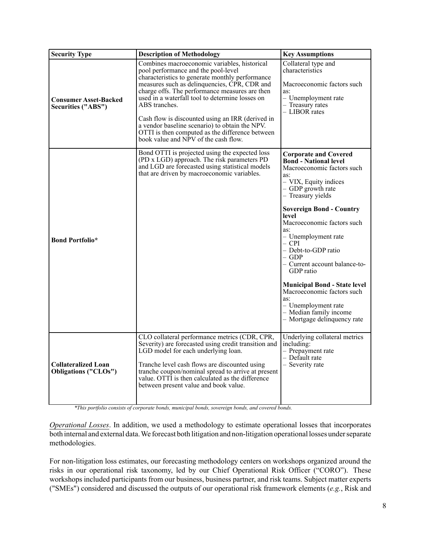| <b>Security Type</b>                                      | <b>Description of Methodology</b>                                                                                                                                                                                                                                                                                                                                                                                                                                                                             | <b>Key Assumptions</b>                                                                                                                                                                                                                                                                                                                                                                                                                                                                                                                |
|-----------------------------------------------------------|---------------------------------------------------------------------------------------------------------------------------------------------------------------------------------------------------------------------------------------------------------------------------------------------------------------------------------------------------------------------------------------------------------------------------------------------------------------------------------------------------------------|---------------------------------------------------------------------------------------------------------------------------------------------------------------------------------------------------------------------------------------------------------------------------------------------------------------------------------------------------------------------------------------------------------------------------------------------------------------------------------------------------------------------------------------|
| <b>Consumer Asset-Backed</b><br>Securities ("ABS")        | Combines macroeconomic variables, historical<br>pool performance and the pool-level<br>characteristics to generate monthly performance<br>measures such as delinquencies, CPR, CDR and<br>charge offs. The performance measures are then<br>used in a waterfall tool to determine losses on<br>ABS tranches.<br>Cash flow is discounted using an IRR (derived in<br>a vendor baseline scenario) to obtain the NPV.<br>OTTI is then computed as the difference between<br>book value and NPV of the cash flow. | Collateral type and<br>characteristics<br>Macroeconomic factors such<br>as:<br>- Unemployment rate<br>- Treasury rates<br>- LIBOR rates                                                                                                                                                                                                                                                                                                                                                                                               |
| <b>Bond Portfolio*</b>                                    | Bond OTTI is projected using the expected loss<br>(PD x LGD) approach. The risk parameters PD<br>and LGD are forecasted using statistical models<br>that are driven by macroeconomic variables.                                                                                                                                                                                                                                                                                                               | <b>Corporate and Covered</b><br><b>Bond</b> - National level<br>Macroeconomic factors such<br>as:<br>- VIX, Equity indices<br>$-$ GDP growth rate<br>- Treasury yields<br><b>Sovereign Bond - Country</b><br>level<br>Macroeconomic factors such<br>as:<br>- Unemployment rate<br>$-$ CPI<br>- Debt-to-GDP ratio<br>$-$ GDP<br>- Current account balance-to-<br>GDP ratio<br><b>Municipal Bond - State level</b><br>Macroeconomic factors such<br>as:<br>- Unemployment rate<br>- Median family income<br>- Mortgage delinquency rate |
| <b>Collateralized Loan</b><br><b>Obligations ("CLOs")</b> | CLO collateral performance metrics (CDR, CPR,<br>Severity) are forecasted using credit transition and<br>LGD model for each underlying loan.<br>Tranche level cash flows are discounted using<br>tranche coupon/nominal spread to arrive at present<br>value. OTTI is then calculated as the difference<br>between present value and book value.                                                                                                                                                              | Underlying collateral metrics<br>including:<br>- Prepayment rate<br>- Default rate<br>- Severity rate                                                                                                                                                                                                                                                                                                                                                                                                                                 |

*\*This portfolio consists of corporate bonds, municipal bonds, sovereign bonds, and covered bonds.*

*Operational Losses*. In addition, we used a methodology to estimate operational losses that incorporates both internal and external data. We forecast both litigation and non-litigation operational losses under separate methodologies.

For non-litigation loss estimates, our forecasting methodology centers on workshops organized around the risks in our operational risk taxonomy, led by our Chief Operational Risk Officer ("CORO"). These workshops included participants from our business, business partner, and risk teams. Subject matter experts ("SMEs") considered and discussed the outputs of our operational risk framework elements (*e.g.*, Risk and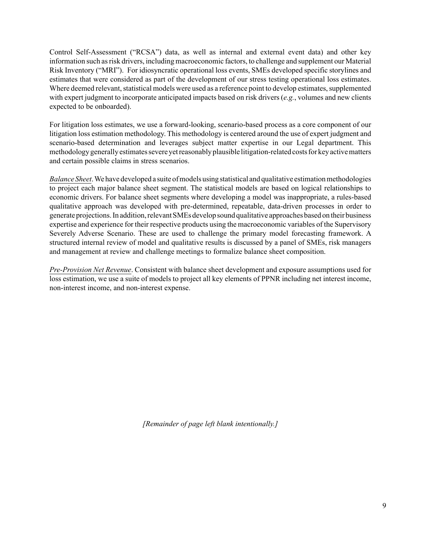Control Self-Assessment ("RCSA") data, as well as internal and external event data) and other key information such as risk drivers, including macroeconomic factors, to challenge and supplement our Material Risk Inventory ("MRI"). For idiosyncratic operational loss events, SMEs developed specific storylines and estimates that were considered as part of the development of our stress testing operational loss estimates. Where deemed relevant, statistical models were used as a reference point to develop estimates, supplemented with expert judgment to incorporate anticipated impacts based on risk drivers (*e.g.*, volumes and new clients expected to be onboarded).

For litigation loss estimates, we use a forward-looking, scenario-based process as a core component of our litigation loss estimation methodology. This methodology is centered around the use of expert judgment and scenario-based determination and leverages subject matter expertise in our Legal department. This methodology generally estimates severe yet reasonably plausible litigation-related costs for key active matters and certain possible claims in stress scenarios.

*Balance Sheet*. We have developed a suite of models using statistical and qualitative estimation methodologies to project each major balance sheet segment. The statistical models are based on logical relationships to economic drivers. For balance sheet segments where developing a model was inappropriate, a rules-based qualitative approach was developed with pre-determined, repeatable, data-driven processes in order to generate projections. In addition, relevant SMEs develop sound qualitative approaches based on their business expertise and experience for their respective products using the macroeconomic variables of the Supervisory Severely Adverse Scenario. These are used to challenge the primary model forecasting framework. A structured internal review of model and qualitative results is discussed by a panel of SMEs, risk managers and management at review and challenge meetings to formalize balance sheet composition.

*Pre-Provision Net Revenue*. Consistent with balance sheet development and exposure assumptions used for loss estimation, we use a suite of models to project all key elements of PPNR including net interest income, non-interest income, and non-interest expense.

*[Remainder of page left blank intentionally.]*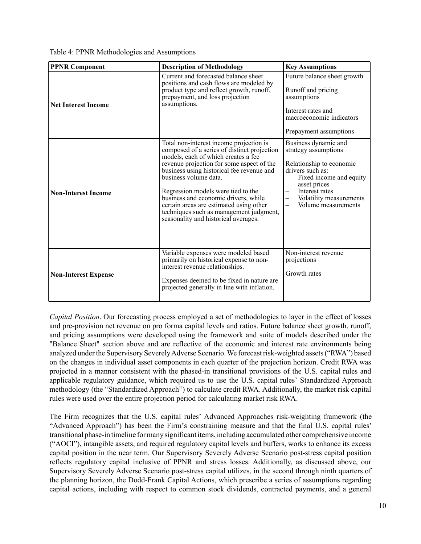Table 4: PPNR Methodologies and Assumptions

| <b>PPNR Component</b>       | <b>Description of Methodology</b>                                                                                                                                                                                                                                                                                                                                                                                                                            | <b>Key Assumptions</b>                                                                                                                                                                                                                  |
|-----------------------------|--------------------------------------------------------------------------------------------------------------------------------------------------------------------------------------------------------------------------------------------------------------------------------------------------------------------------------------------------------------------------------------------------------------------------------------------------------------|-----------------------------------------------------------------------------------------------------------------------------------------------------------------------------------------------------------------------------------------|
| <b>Net Interest Income</b>  | Current and forecasted balance sheet<br>positions and cash flows are modeled by<br>product type and reflect growth, runoff,<br>prepayment, and loss projection<br>assumptions.                                                                                                                                                                                                                                                                               | Future balance sheet growth<br>Runoff and pricing<br>assumptions<br>Interest rates and<br>macroeconomic indicators<br>Prepayment assumptions                                                                                            |
| <b>Non-Interest Income</b>  | Total non-interest income projection is<br>composed of a series of distinct projection<br>models, each of which creates a fee<br>revenue projection for some aspect of the<br>business using historical fee revenue and<br>business volume data.<br>Regression models were tied to the<br>business and economic drivers, while<br>certain areas are estimated using other<br>techniques such as management judgment,<br>seasonality and historical averages. | Business dynamic and<br>strategy assumptions<br>Relationship to economic<br>drivers such as:<br>Fixed income and equity<br>$\overline{\phantom{0}}$<br>asset prices<br>Interest rates<br>Volatility measurements<br>Volume measurements |
| <b>Non-Interest Expense</b> | Variable expenses were modeled based<br>primarily on historical expense to non-<br>interest revenue relationships.<br>Expenses deemed to be fixed in nature are<br>projected generally in line with inflation.                                                                                                                                                                                                                                               | Non-interest revenue<br>projections<br>Growth rates                                                                                                                                                                                     |

*Capital Position*. Our forecasting process employed a set of methodologies to layer in the effect of losses and pre-provision net revenue on pro forma capital levels and ratios. Future balance sheet growth, runoff, and pricing assumptions were developed using the framework and suite of models described under the "Balance Sheet" section above and are reflective of the economic and interest rate environments being analyzed under the Supervisory Severely Adverse Scenario. We forecast risk-weighted assets ("RWA") based on the changes in individual asset components in each quarter of the projection horizon. Credit RWA was projected in a manner consistent with the phased-in transitional provisions of the U.S. capital rules and applicable regulatory guidance, which required us to use the U.S. capital rules' Standardized Approach methodology (the "Standardized Approach") to calculate credit RWA. Additionally, the market risk capital rules were used over the entire projection period for calculating market risk RWA.

The Firm recognizes that the U.S. capital rules' Advanced Approaches risk-weighting framework (the "Advanced Approach") has been the Firm's constraining measure and that the final U.S. capital rules' transitional phase-in timeline for many significant items, including accumulated other comprehensive income ("AOCI"), intangible assets, and required regulatory capital levels and buffers, works to enhance its excess capital position in the near term. Our Supervisory Severely Adverse Scenario post-stress capital position reflects regulatory capital inclusive of PPNR and stress losses. Additionally, as discussed above, our Supervisory Severely Adverse Scenario post-stress capital utilizes, in the second through ninth quarters of the planning horizon, the Dodd-Frank Capital Actions, which prescribe a series of assumptions regarding capital actions, including with respect to common stock dividends, contracted payments, and a general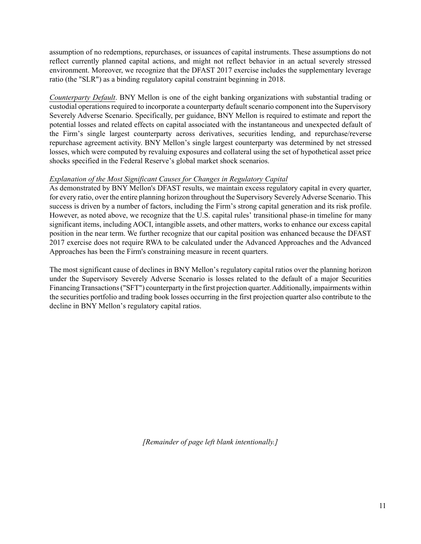assumption of no redemptions, repurchases, or issuances of capital instruments. These assumptions do not reflect currently planned capital actions, and might not reflect behavior in an actual severely stressed environment. Moreover, we recognize that the DFAST 2017 exercise includes the supplementary leverage ratio (the "SLR") as a binding regulatory capital constraint beginning in 2018.

*Counterparty Default*. BNY Mellon is one of the eight banking organizations with substantial trading or custodial operations required to incorporate a counterparty default scenario component into the Supervisory Severely Adverse Scenario. Specifically, per guidance, BNY Mellon is required to estimate and report the potential losses and related effects on capital associated with the instantaneous and unexpected default of the Firm's single largest counterparty across derivatives, securities lending, and repurchase/reverse repurchase agreement activity. BNY Mellon's single largest counterparty was determined by net stressed losses, which were computed by revaluing exposures and collateral using the set of hypothetical asset price shocks specified in the Federal Reserve's global market shock scenarios.

## *Explanation of the Most Significant Causes for Changes in Regulatory Capital*

As demonstrated by BNY Mellon's DFAST results, we maintain excess regulatory capital in every quarter, for every ratio, over the entire planning horizon throughout the Supervisory Severely Adverse Scenario. This success is driven by a number of factors, including the Firm's strong capital generation and its risk profile. However, as noted above, we recognize that the U.S. capital rules' transitional phase-in timeline for many significant items, including AOCI, intangible assets, and other matters, works to enhance our excess capital position in the near term. We further recognize that our capital position was enhanced because the DFAST 2017 exercise does not require RWA to be calculated under the Advanced Approaches and the Advanced Approaches has been the Firm's constraining measure in recent quarters.

The most significant cause of declines in BNY Mellon's regulatory capital ratios over the planning horizon under the Supervisory Severely Adverse Scenario is losses related to the default of a major Securities Financing Transactions ("SFT") counterparty in the first projection quarter. Additionally, impairments within the securities portfolio and trading book losses occurring in the first projection quarter also contribute to the decline in BNY Mellon's regulatory capital ratios.

*[Remainder of page left blank intentionally.]*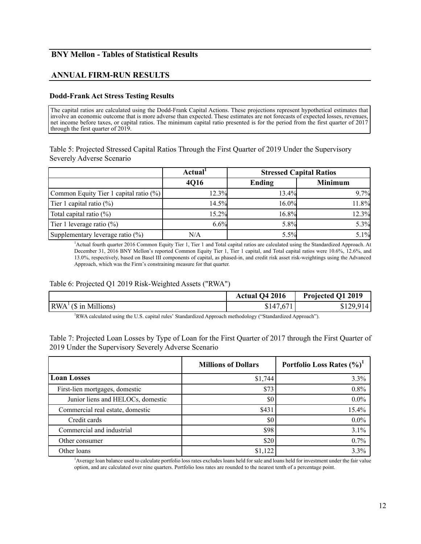# **BNY Mellon - Tables of Statistical Results**

# **ANNUAL FIRM-RUN RESULTS**

#### **Dodd-Frank Act Stress Testing Results**

The capital ratios are calculated using the Dodd-Frank Capital Actions. These projections represent hypothetical estimates that involve an economic outcome that is more adverse than expected. These estimates are not forecasts of expected losses, revenues, net income before taxes, or capital ratios. The minimum capital ratio presented is for the period from the first quarter of 2017 through the first quarter of 2019.

Table 5: Projected Stressed Capital Ratios Through the First Quarter of 2019 Under the Supervisory Severely Adverse Scenario

|                                        | Actual <sup>1</sup> |        | <b>Stressed Capital Ratios</b> |  |
|----------------------------------------|---------------------|--------|--------------------------------|--|
|                                        | 4Q16                | Ending | <b>Minimum</b>                 |  |
| Common Equity Tier 1 capital ratio (%) | 12.3%               | 13.4%  | 9.7%                           |  |
| Tier 1 capital ratio $(\%)$            | 14.5%               | 16.0%  | 11.8%                          |  |
| Total capital ratio $(\%)$             | 15.2%               | 16.8%  | 12.3%                          |  |
| Tier 1 leverage ratio $(\%)$           | 6.6%                | 5.8%   | 5.3%                           |  |
| Supplementary leverage ratio (%)       | N/A                 | 5.5%   | 5.1%                           |  |

1 Actual fourth quarter 2016 Common Equity Tier 1, Tier 1 and Total capital ratios are calculated using the Standardized Approach. At December 31, 2016 BNY Mellon's reported Common Equity Tier 1, Tier 1 capital, and Total capital ratios were 10.6%, 12.6%, and 13.0%, respectively, based on Basel III components of capital, as phased-in, and credit risk asset risk-weightings using the Advanced Approach, which was the Firm's constraining measure for that quarter.

## Table 6: Projected Q1 2019 Risk-Weighted Assets ("RWA")

|                                                                                                            | <b>Actual Q4 2016</b> | Projected Q1 2019 |
|------------------------------------------------------------------------------------------------------------|-----------------------|-------------------|
| $\vert RWA^{\perp}(\$ \text{ in Millions}) \vert$                                                          | \$147,671             | \$129,914         |
| 'RWA calculated using the U.S. capital rules' Standardized Approach methodology ("Standardized Approach"). |                       |                   |

Table 7: Projected Loan Losses by Type of Loan for the First Quarter of 2017 through the First Quarter of 2019 Under the Supervisory Severely Adverse Scenario

|                                   | <b>Millions of Dollars</b> |         |
|-----------------------------------|----------------------------|---------|
| <b>Loan Losses</b>                | \$1,744                    | 3.3%    |
| First-lien mortgages, domestic    | \$73                       | 0.8%    |
| Junior liens and HELOCs, domestic | \$0                        | $0.0\%$ |
| Commercial real estate, domestic  | \$431                      | 15.4%   |
| Credit cards                      | \$0                        | $0.0\%$ |
| Commercial and industrial         | \$98                       | 3.1%    |
| Other consumer                    | \$20                       | 0.7%    |
| Other loans                       | \$1,122                    | 3.3%    |

1 Average loan balance used to calculate portfolio loss rates excludes loans held for sale and loans held for investment under the fair value option, and are calculated over nine quarters. Portfolio loss rates are rounded to the nearest tenth of a percentage point.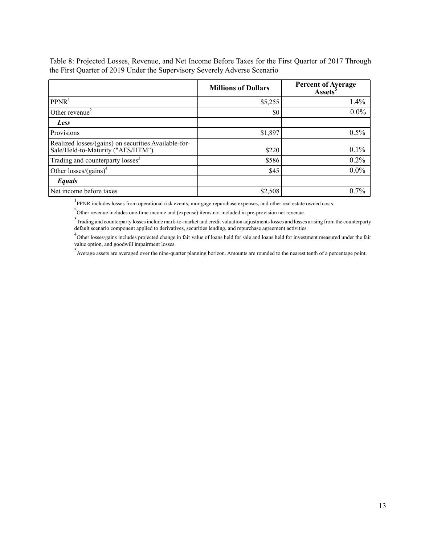|                                                                                           | <b>Millions of Dollars</b> | <b>Percent of Average</b><br><b>Assets</b> <sup>5</sup> |
|-------------------------------------------------------------------------------------------|----------------------------|---------------------------------------------------------|
| PPNR <sup>1</sup>                                                                         | \$5,255                    | 1.4%                                                    |
| Other revenue <sup>2</sup>                                                                | \$0                        | $0.0\%$                                                 |
| Less                                                                                      |                            |                                                         |
| <b>Provisions</b>                                                                         | \$1,897                    | 0.5%                                                    |
| Realized losses/(gains) on securities Available-for-<br>Sale/Held-to-Maturity ("AFS/HTM") | \$220                      | $0.1\%$                                                 |
| Trading and counterparty losses <sup>3</sup>                                              | \$586                      | $0.2\%$                                                 |
| Other losses/(gains) <sup>4</sup>                                                         | \$45                       | $0.0\%$                                                 |
| Equals                                                                                    |                            |                                                         |
| Net income before taxes                                                                   | \$2,508                    | 0.7%                                                    |

Table 8: Projected Losses, Revenue, and Net Income Before Taxes for the First Quarter of 2017 Through the First Quarter of 2019 Under the Supervisory Severely Adverse Scenario

<sup>1</sup>PPNR includes losses from operational risk events, mortgage repurchase expenses, and other real estate owned costs.

 $2$ Other revenue includes one-time income and (expense) items not included in pre-provision net revenue.

<sup>3</sup>Trading and counterparty losses include mark-to-market and credit valuation adjustments losses and losses arising from the counterparty default scenario component applied to derivatives, securities lending, and repurchase agreement activities.

<sup>4</sup>Other losses/gains includes projected change in fair value of loans held for sale and loans held for investment measured under the fair value option, and goodwill impairment losses.

5 Average assets are averaged over the nine-quarter planning horizon. Amounts are rounded to the nearest tenth of a percentage point.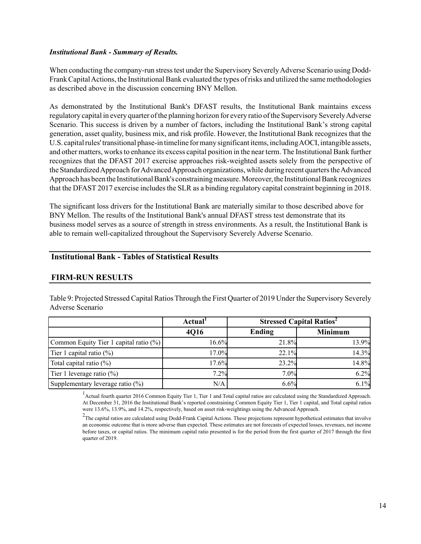#### *Institutional Bank - Summary of Results.*

When conducting the company-run stress test under the Supervisory Severely Adverse Scenario using Dodd-Frank Capital Actions, the Institutional Bank evaluated the types of risks and utilized the same methodologies as described above in the discussion concerning BNY Mellon.

As demonstrated by the Institutional Bank's DFAST results, the Institutional Bank maintains excess regulatory capital in every quarter of the planning horizon for every ratio of the Supervisory Severely Adverse Scenario. This success is driven by a number of factors, including the Institutional Bank's strong capital generation, asset quality, business mix, and risk profile. However, the Institutional Bank recognizes that the U.S. capital rules' transitional phase-in timeline for many significant items, including AOCI, intangible assets, and other matters, works to enhance its excess capital position in the near term. The Institutional Bank further recognizes that the DFAST 2017 exercise approaches risk-weighted assets solely from the perspective of the Standardized Approach for Advanced Approach organizations, while during recent quarters the Advanced Approach has been the Institutional Bank's constraining measure. Moreover, the Institutional Bank recognizes that the DFAST 2017 exercise includes the SLR as a binding regulatory capital constraint beginning in 2018.

The significant loss drivers for the Institutional Bank are materially similar to those described above for BNY Mellon. The results of the Institutional Bank's annual DFAST stress test demonstrate that its business model serves as a source of strength in stress environments. As a result, the Institutional Bank is able to remain well-capitalized throughout the Supervisory Severely Adverse Scenario.

# **Institutional Bank - Tables of Statistical Results**

# **FIRM-RUN RESULTS**

Table 9: Projected Stressed Capital Ratios Through the First Quarter of 2019 Under the Supervisory Severely Adverse Scenario

|                                        | Actual <sup>1</sup> | <b>Stressed Capital Ratios<sup>2</sup></b> |                |
|----------------------------------------|---------------------|--------------------------------------------|----------------|
|                                        | 4Q16                | Ending                                     | <b>Minimum</b> |
| Common Equity Tier 1 capital ratio (%) | 16.6%               | 21.8%                                      | 13.9%          |
| Tier 1 capital ratio $(\%)$            | 17.0%               | 22.1%                                      | 14.3%          |
| Total capital ratio (%)                | 17.6%               | 23.2%                                      | 14.8%          |
| Tier 1 leverage ratio $(\%)$           | 7.2%                | 7.0%                                       | 6.2%           |
| Supplementary leverage ratio (%)       | N/A                 | 6.6%                                       | 6.1%           |

<sup>1</sup> Actual fourth quarter 2016 Common Equity Tier 1, Tier 1 and Total capital ratios are calculated using the Standardized Approach. At December 31, 2016 the Institutional Bank's reported constraining Common Equity Tier 1, Tier 1 capital, and Total capital ratios were 13.6%, 13.9%, and 14.2%, respectively, based on asset risk-weightings using the Advanced Approach.

 $2\text{m}$  The capital ratios are calculated using Dodd-Frank Capital Actions. These projections represent hypothetical estimates that involve an economic outcome that is more adverse than expected. These estimates are not forecasts of expected losses, revenues, net income before taxes, or capital ratios. The minimum capital ratio presented is for the period from the first quarter of 2017 through the first quarter of 2019.